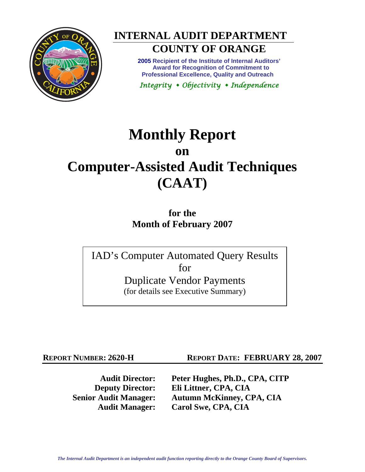



# **COUNTY OF ORANGE**

**2005 Recipient of the Institute of Internal Auditors' Award for Recognition of Commitment to Professional Excellence, Quality and Outreach** 

*Integrity Objectivity Independence* 

# **Monthly Report on Computer-Assisted Audit Techniques (CAAT)**

**for the Month of February 2007** 

IAD's Computer Automated Query Results for Duplicate Vendor Payments (for details see Executive Summary)

**REPORT NUMBER: 2620-H REPORT DATE: FEBRUARY 28, 2007** 

**Audit Director: Peter Hughes, Ph.D., CPA, CITP Deputy Director: Eli Littner, CPA, CIA Senior Audit Manager: Autumn McKinney, CPA, CIA Audit Manager: Carol Swe, CPA, CIA**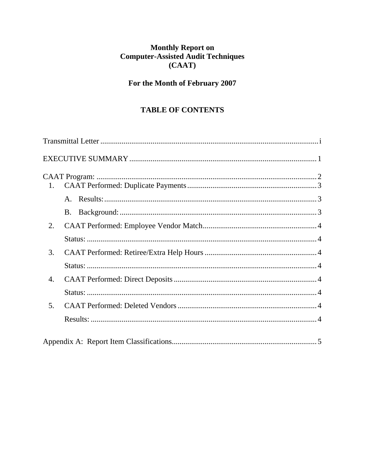# Monthly Report on<br>Computer-Assisted Audit Techniques  $(CAAT)$

# For the Month of February 2007

# **TABLE OF CONTENTS**

| 1. |  |
|----|--|
|    |  |
|    |  |
| 2. |  |
|    |  |
| 3. |  |
|    |  |
| 4. |  |
|    |  |
| 5. |  |
|    |  |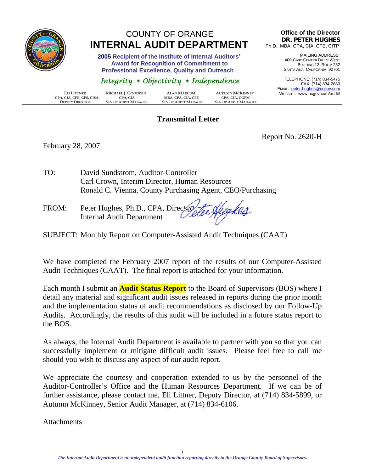<span id="page-2-0"></span>

# COUNTY OF ORANGE  **INTERNAL AUDIT DEPARTMENT**

 **2005 Recipient of the Institute of Internal Auditors' Award for Recognition of Commitment to Professional Excellence, Quality and Outreach** 

# *Integrity Objectivity Independence*

|                          |                             |                             |                             | LIVIAIL    |
|--------------------------|-----------------------------|-----------------------------|-----------------------------|------------|
| ELI LITTNER              | MICHAEL J. GOODWIN          | <b>ALAN MARCUM</b>          | <b>AUTUMN MCKINNEY</b>      | <b>WEB</b> |
| CPA, CIA, CFE, CFS, CISA | CPA. CIA                    | MBA, CPA, CIA, CFE          | CPA. CIA. CGFM              |            |
| <b>DEPUTY DIRECTOR</b>   | <b>SENIOR AUDIT MANAGER</b> | <b>SENIOR AUDIT MANAGER</b> | <b>SENIOR AUDIT MANAGER</b> |            |

#### **Transmittal Letter**

#### **Office of the Director DR. PETER HUGHES** Ph.D., MBA, CPA, CIA, CFE, CITP

MAILING ADDRESS: 400 CIVIC CENTER DRIVE WEST BUILDING 12, ROOM 232 SANTA ANA, CALIFORNIA 92701

TELEPHONE: (714) 834-5475 FAX: (714) 834-2880 EMAIL: peter.hughes@ocgov.com BSITE: www.ocgov.com/audit/

February 28, 2007

Report No. 2620-H

TO: David Sundstrom, Auditor-Controller Carl Crown, Interim Director, Human Resources Ronald C. Vienna, County Purchasing Agent, CEO/Purchasing

FROM: Peter Hughes, Ph.D., CPA, Directory Internal Audit Department

SUBJECT: Monthly Report on Computer-Assisted Audit Techniques (CAAT)

We have completed the February 2007 report of the results of our Computer-Assisted Audit Techniques (CAAT). The final report is attached for your information.

Each month I submit an **Audit Status Report** to the Board of Supervisors (BOS) where I detail any material and significant audit issues released in reports during the prior month and the implementation status of audit recommendations as disclosed by our Follow-Up Audits. Accordingly, the results of this audit will be included in a future status report to the BOS.

As always, the Internal Audit Department is available to partner with you so that you can successfully implement or mitigate difficult audit issues. Please feel free to call me should you wish to discuss any aspect of our audit report.

We appreciate the courtesy and cooperation extended to us by the personnel of the Auditor-Controller's Office and the Human Resources Department. If we can be of further assistance, please contact me, Eli Littner, Deputy Director, at (714) 834-5899, or Autumn McKinney, Senior Audit Manager, at (714) 834-6106.

**Attachments**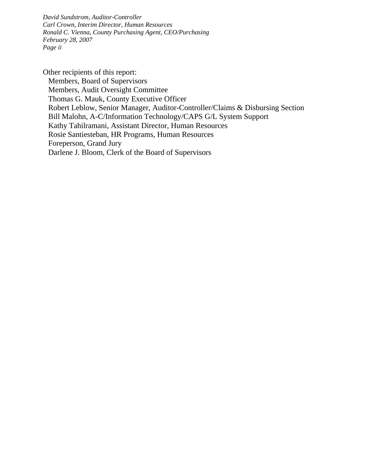*David Sundstrom, Auditor-Controller Carl Crown, Interim Director, Human Resources Ronald C. Vienna, County Purchasing Agent, CEO/Purchasing February 28, 2007 Page ii* 

Other recipients of this report: Members, Board of Supervisors Members, Audit Oversight Committee Thomas G. Mauk, County Executive Officer Robert Leblow, Senior Manager, Auditor-Controller/Claims & Disbursing Section Bill Malohn, A-C/Information Technology/CAPS G/L System Support Kathy Tahilramani, Assistant Director, Human Resources Rosie Santiesteban, HR Programs, Human Resources Foreperson, Grand Jury Darlene J. Bloom, Clerk of the Board of Supervisors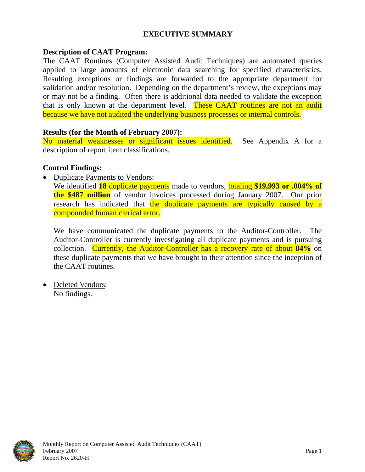#### **EXECUTIVE SUMMARY**

#### <span id="page-4-0"></span>**Description of CAAT Program:**

The CAAT Routines (Computer Assisted Audit Techniques) are automated queries applied to large amounts of electronic data searching for specified characteristics. Resulting exceptions or findings are forwarded to the appropriate department for validation and/or resolution. Depending on the department's review, the exceptions may or may not be a finding. Often there is additional data needed to validate the exception that is only known at the department level. These CAAT routines are not an audit because we have not audited the underlying business processes or internal controls.

#### **Results (for the Month of February 2007):**

No material weaknesses or significant issues identified. See Appendix A for a description of report item classifications.

#### **Control Findings:**

• Duplicate Payments to Vendors:

We identified **18** duplicate payments made to vendors, totaling **\$19,993 or .004% of the \$487 million** of vendor invoices processed during January 2007. Our prior research has indicated that the duplicate payments are typically caused by a compounded human clerical error.

We have communicated the duplicate payments to the Auditor-Controller. The Auditor-Controller is currently investigating all duplicate payments and is pursuing collection. Currently, the Auditor-Controller has a recovery rate of about **84%** on these duplicate payments that we have brought to their attention since the inception of the CAAT routines.

• Deleted Vendors: No findings.

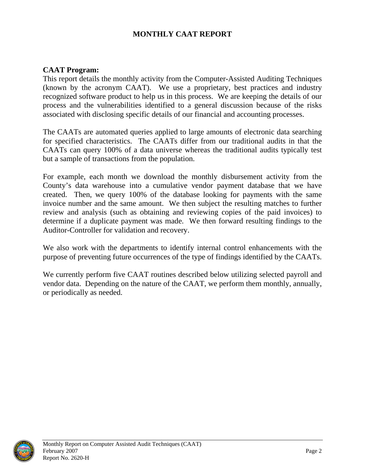## **MONTHLY CAAT REPORT**

#### <span id="page-5-0"></span>**CAAT Program:**

This report details the monthly activity from the Computer-Assisted Auditing Techniques (known by the acronym CAAT). We use a proprietary, best practices and industry recognized software product to help us in this process. We are keeping the details of our process and the vulnerabilities identified to a general discussion because of the risks associated with disclosing specific details of our financial and accounting processes.

The CAATs are automated queries applied to large amounts of electronic data searching for specified characteristics. The CAATs differ from our traditional audits in that the CAATs can query 100% of a data universe whereas the traditional audits typically test but a sample of transactions from the population.

For example, each month we download the monthly disbursement activity from the County's data warehouse into a cumulative vendor payment database that we have created. Then, we query 100% of the database looking for payments with the same invoice number and the same amount. We then subject the resulting matches to further review and analysis (such as obtaining and reviewing copies of the paid invoices) to determine if a duplicate payment was made. We then forward resulting findings to the Auditor-Controller for validation and recovery.

We also work with the departments to identify internal control enhancements with the purpose of preventing future occurrences of the type of findings identified by the CAATs.

We currently perform five CAAT routines described below utilizing selected payroll and vendor data. Depending on the nature of the CAAT, we perform them monthly, annually, or periodically as needed.

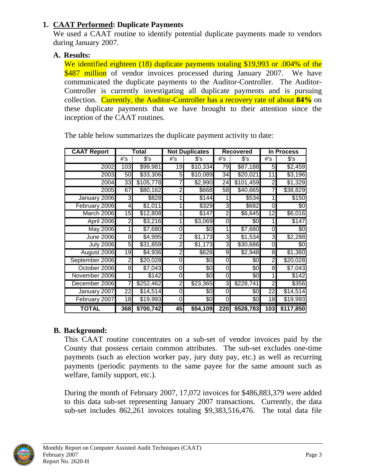# <span id="page-6-0"></span>**1. CAAT Performed: Duplicate Payments**

We used a CAAT routine to identify potential duplicate payments made to vendors during January 2007.

## **A. Results:**

We identified eighteen (18) duplicate payments totaling \$19,993 or .004% of the \$487 million of vendor invoices processed during January 2007. We have communicated the duplicate payments to the Auditor-Controller. The Auditor-Controller is currently investigating all duplicate payments and is pursuing collection. Currently, the Auditor-Controller has a recovery rate of about **84%** on these duplicate payments that we have brought to their attention since the inception of the CAAT routines.

| <b>CAAT Report</b> | Total |           | <b>Not Duplicates</b> |                      | <b>Recovered</b> |                     | In Process     |           |
|--------------------|-------|-----------|-----------------------|----------------------|------------------|---------------------|----------------|-----------|
|                    | #'s   | $s$ 's    | #'s                   | $s$ 's               | #'s              | \$'s                | #'s            | $s$ 's    |
| 2002               | 103   | \$99,981  | 19                    | \$10,334             | 79               | \$87,188            | 5              | \$2,459   |
| 2003               | 50    | \$33,306  | 5                     | \$10,089             | 34               | \$20,021            | 11             | \$3,196   |
| 2004               | 33    | \$105,778 |                       | \$2,990              | 24               | \$101,459           | $\overline{2}$ | \$1,329   |
| 2005               | 67    | \$80,162  | 2                     | \$668                | 58               | $\overline{40,665}$ | 7              | \$38,829  |
| January 2006       | 3     | \$828     |                       | \$144                |                  | \$534               |                | \$150     |
| February 2006      | 4     | \$1,011   |                       | \$329                | 3                | \$682               | 0              | \$0       |
| March 2006         | 15    | \$12,808  |                       | \$147                | Ŋ,               | \$6,645             | 12             | \$6,016   |
| April 2006         | 2     | \$3,216   |                       | \$3,069              | 0                | 80                  |                | \$147     |
| <b>May 2006</b>    |       | \$7,680   | 0                     | \$0                  | 1                | \$7,680             | 0              | \$0       |
| <b>June 2006</b>   | 8     | \$4,995   | $\overline{2}$        | \$1,173              | ω                | \$1,534             | ω              | \$2,288   |
| <b>July 2006</b>   | 5     | \$31,859  | 2                     | \$1,173              | 3                | \$30,686            | 0              | \$0       |
| August 2006        | 19    | \$4,936   | $\overline{c}$        | \$628                | 9                | \$2,948             | 8              | \$1,360   |
| September 2006     | 2     | \$20,028  | 0                     | \$0                  | 0                | $\sqrt[6]{3}$       | 2              | \$20,028  |
| October 2006       | 8     | \$7,043   | 0                     | \$0                  | 0                | \$0                 | 8              | \$7,043   |
| November 2006      |       | \$142     | 0                     | \$0                  | 0                | \$0                 |                | \$142     |
| December 2006      |       | \$252,462 | $\overline{c}$        | \$23,365             | 3                | \$228,741           | 2              | \$356     |
| January 2007       | 22    | \$14,514  | 0                     | \$0                  | 0                | \$0                 | 22             | \$14,514  |
| February 2007      | 18    | \$19,993  | 0                     | \$0                  | 0                | \$0                 | 18             | \$19,993  |
| <b>TOTAL</b>       | 368   | \$700,742 | 45                    | $\overline{$}54,109$ | 220              | \$528,783           | 103            | \$117,850 |

The table below summarizes the duplicate payment activity to date:

# **B. Background:**

This CAAT routine concentrates on a sub-set of vendor invoices paid by the County that possess certain common attributes. The sub-set excludes one-time payments (such as election worker pay, jury duty pay, etc.) as well as recurring payments (periodic payments to the same payee for the same amount such as welfare, family support, etc.).

During the month of February 2007, 17,072 invoices for \$486,883,379 were added to this data sub-set representing January 2007 transactions. Currently, the data sub-set includes 862,261 invoices totaling \$9,383,516,476. The total data file

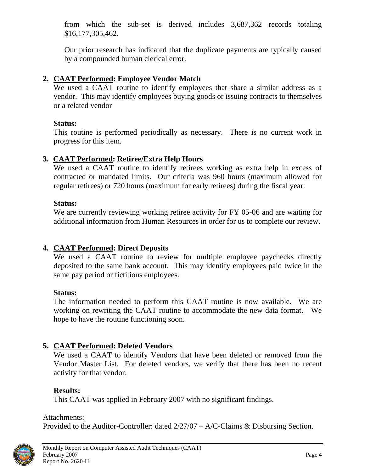<span id="page-7-0"></span>from which the sub-set is derived includes 3,687,362 records totaling \$16,177,305,462.

Our prior research has indicated that the duplicate payments are typically caused by a compounded human clerical error.

# **2. CAAT Performed: Employee Vendor Match**

We used a CAAT routine to identify employees that share a similar address as a vendor. This may identify employees buying goods or issuing contracts to themselves or a related vendor

#### **Status:**

This routine is performed periodically as necessary. There is no current work in progress for this item.

## **3. CAAT Performed: Retiree/Extra Help Hours**

We used a CAAT routine to identify retirees working as extra help in excess of contracted or mandated limits. Our criteria was 960 hours (maximum allowed for regular retirees) or 720 hours (maximum for early retirees) during the fiscal year.

#### **Status:**

We are currently reviewing working retiree activity for FY 05-06 and are waiting for additional information from Human Resources in order for us to complete our review.

# **4. CAAT Performed: Direct Deposits**

We used a CAAT routine to review for multiple employee paychecks directly deposited to the same bank account. This may identify employees paid twice in the same pay period or fictitious employees.

## **Status:**

The information needed to perform this CAAT routine is now available. We are working on rewriting the CAAT routine to accommodate the new data format. We hope to have the routine functioning soon.

## **5. CAAT Performed: Deleted Vendors**

We used a CAAT to identify Vendors that have been deleted or removed from the Vendor Master List. For deleted vendors, we verify that there has been no recent activity for that vendor.

# **Results:**

This CAAT was applied in February 2007 with no significant findings.

#### Attachments:

Provided to the Auditor-Controller: dated 2/27/07 – A/C-Claims & Disbursing Section.